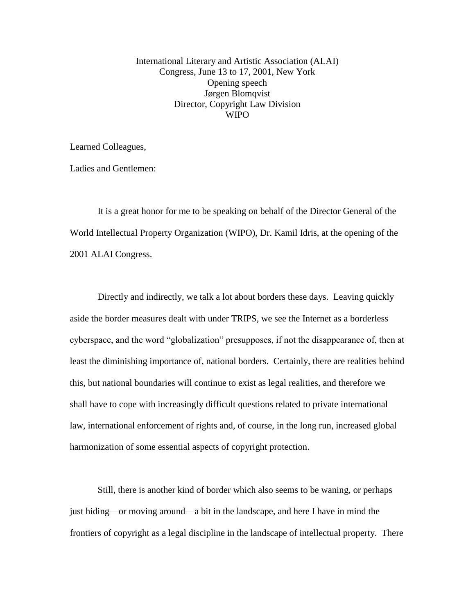International Literary and Artistic Association (ALAI) Congress, June 13 to 17, 2001, New York Opening speech Jørgen Blomqvist Director, Copyright Law Division **WIPO** 

Learned Colleagues,

Ladies and Gentlemen:

It is a great honor for me to be speaking on behalf of the Director General of the World Intellectual Property Organization (WIPO), Dr. Kamil Idris, at the opening of the 2001 ALAI Congress.

Directly and indirectly, we talk a lot about borders these days. Leaving quickly aside the border measures dealt with under TRIPS, we see the Internet as a borderless cyberspace, and the word "globalization" presupposes, if not the disappearance of, then at least the diminishing importance of, national borders. Certainly, there are realities behind this, but national boundaries will continue to exist as legal realities, and therefore we shall have to cope with increasingly difficult questions related to private international law, international enforcement of rights and, of course, in the long run, increased global harmonization of some essential aspects of copyright protection.

Still, there is another kind of border which also seems to be waning, or perhaps just hiding—or moving around—a bit in the landscape, and here I have in mind the frontiers of copyright as a legal discipline in the landscape of intellectual property. There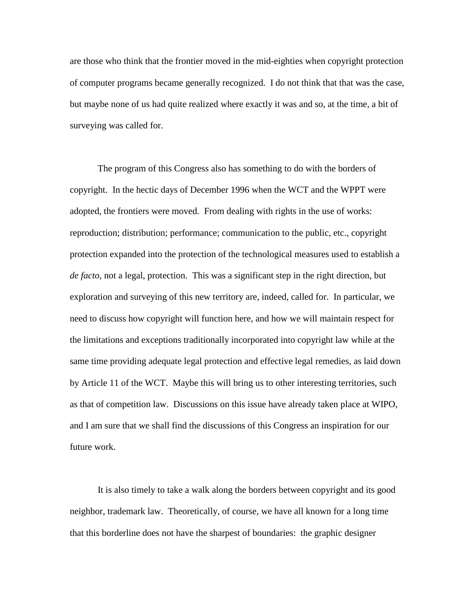are those who think that the frontier moved in the mid-eighties when copyright protection of computer programs became generally recognized. I do not think that that was the case, but maybe none of us had quite realized where exactly it was and so, at the time, a bit of surveying was called for.

The program of this Congress also has something to do with the borders of copyright. In the hectic days of December 1996 when the WCT and the WPPT were adopted, the frontiers were moved. From dealing with rights in the use of works: reproduction; distribution; performance; communication to the public, etc., copyright protection expanded into the protection of the technological measures used to establish a *de facto*, not a legal, protection. This was a significant step in the right direction, but exploration and surveying of this new territory are, indeed, called for. In particular, we need to discuss how copyright will function here, and how we will maintain respect for the limitations and exceptions traditionally incorporated into copyright law while at the same time providing adequate legal protection and effective legal remedies, as laid down by Article 11 of the WCT. Maybe this will bring us to other interesting territories, such as that of competition law. Discussions on this issue have already taken place at WIPO, and I am sure that we shall find the discussions of this Congress an inspiration for our future work.

It is also timely to take a walk along the borders between copyright and its good neighbor, trademark law. Theoretically, of course, we have all known for a long time that this borderline does not have the sharpest of boundaries: the graphic designer